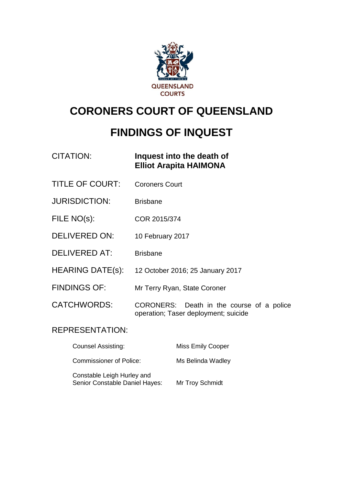

# **CORONERS COURT OF QUEENSLAND**

# **FINDINGS OF INQUEST**

| CITATION: | Inquest into the death of     |
|-----------|-------------------------------|
|           | <b>Elliot Arapita HAIMONA</b> |

- TITLE OF COURT: Coroners Court
- JURISDICTION: Brisbane
- FILE NO(s): COR 2015/374
- DELIVERED ON: 10 February 2017
- DELIVERED AT: Brisbane
- HEARING DATE(s): 12 October 2016; 25 January 2017
- FINDINGS OF: Mr Terry Ryan, State Coroner
- CATCHWORDS: CORONERS: Death in the course of a police operation; Taser deployment; suicide

### REPRESENTATION:

| <b>Counsel Assisting:</b>                                    | Miss Emily Cooper |
|--------------------------------------------------------------|-------------------|
| <b>Commissioner of Police:</b>                               | Ms Belinda Wadley |
| Constable Leigh Hurley and<br>Senior Constable Daniel Hayes: | Mr Troy Schmidt   |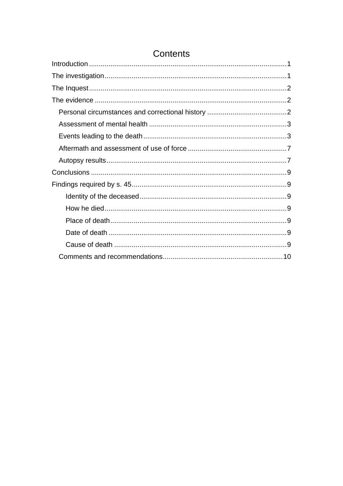# **Contents**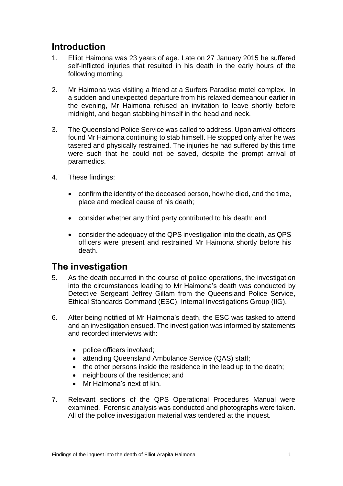## <span id="page-2-0"></span>**Introduction**

- 1. Elliot Haimona was 23 years of age. Late on 27 January 2015 he suffered self-inflicted injuries that resulted in his death in the early hours of the following morning.
- 2. Mr Haimona was visiting a friend at a Surfers Paradise motel complex. In a sudden and unexpected departure from his relaxed demeanour earlier in the evening, Mr Haimona refused an invitation to leave shortly before midnight, and began stabbing himself in the head and neck.
- 3. The Queensland Police Service was called to address. Upon arrival officers found Mr Haimona continuing to stab himself. He stopped only after he was tasered and physically restrained. The injuries he had suffered by this time were such that he could not be saved, despite the prompt arrival of paramedics.
- 4. These findings:
	- confirm the identity of the deceased person, how he died, and the time, place and medical cause of his death;
	- consider whether any third party contributed to his death; and
	- consider the adequacy of the QPS investigation into the death, as QPS officers were present and restrained Mr Haimona shortly before his death.

### <span id="page-2-1"></span>**The investigation**

- 5. As the death occurred in the course of police operations, the investigation into the circumstances leading to Mr Haimona's death was conducted by Detective Sergeant Jeffrey Gillam from the Queensland Police Service, Ethical Standards Command (ESC), Internal Investigations Group (IIG).
- 6. After being notified of Mr Haimona's death, the ESC was tasked to attend and an investigation ensued. The investigation was informed by statements and recorded interviews with:
	- police officers involved;
	- attending Queensland Ambulance Service (QAS) staff;
	- the other persons inside the residence in the lead up to the death;
	- neighbours of the residence; and
	- Mr Haimona's next of kin.
- 7. Relevant sections of the QPS Operational Procedures Manual were examined. Forensic analysis was conducted and photographs were taken. All of the police investigation material was tendered at the inquest.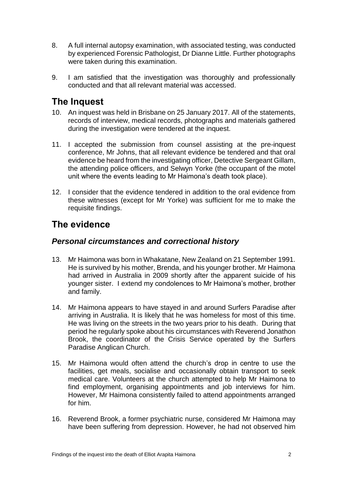- 8. A full internal autopsy examination, with associated testing, was conducted by experienced Forensic Pathologist, Dr Dianne Little. Further photographs were taken during this examination.
- 9. I am satisfied that the investigation was thoroughly and professionally conducted and that all relevant material was accessed.

### <span id="page-3-0"></span>**The Inquest**

- 10. An inquest was held in Brisbane on 25 January 2017. All of the statements, records of interview, medical records, photographs and materials gathered during the investigation were tendered at the inquest.
- 11. I accepted the submission from counsel assisting at the pre-inquest conference, Mr Johns, that all relevant evidence be tendered and that oral evidence be heard from the investigating officer, Detective Sergeant Gillam, the attending police officers, and Selwyn Yorke (the occupant of the motel unit where the events leading to Mr Haimona's death took place).
- 12. I consider that the evidence tendered in addition to the oral evidence from these witnesses (except for Mr Yorke) was sufficient for me to make the requisite findings.

# <span id="page-3-1"></span>**The evidence**

#### <span id="page-3-2"></span>*Personal circumstances and correctional history*

- 13. Mr Haimona was born in Whakatane, New Zealand on 21 September 1991. He is survived by his mother, Brenda, and his younger brother. Mr Haimona had arrived in Australia in 2009 shortly after the apparent suicide of his younger sister. I extend my condolences to Mr Haimona's mother, brother and family.
- 14. Mr Haimona appears to have stayed in and around Surfers Paradise after arriving in Australia. It is likely that he was homeless for most of this time. He was living on the streets in the two years prior to his death. During that period he regularly spoke about his circumstances with Reverend Jonathon Brook, the coordinator of the Crisis Service operated by the Surfers Paradise Anglican Church.
- 15. Mr Haimona would often attend the church's drop in centre to use the facilities, get meals, socialise and occasionally obtain transport to seek medical care. Volunteers at the church attempted to help Mr Haimona to find employment, organising appointments and job interviews for him. However, Mr Haimona consistently failed to attend appointments arranged for him.
- 16. Reverend Brook, a former psychiatric nurse, considered Mr Haimona may have been suffering from depression. However, he had not observed him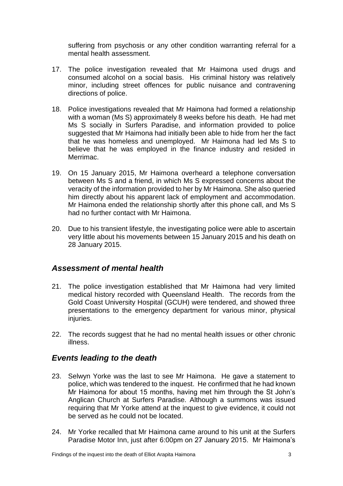suffering from psychosis or any other condition warranting referral for a mental health assessment.

- 17. The police investigation revealed that Mr Haimona used drugs and consumed alcohol on a social basis. His criminal history was relatively minor, including street offences for public nuisance and contravening directions of police.
- 18. Police investigations revealed that Mr Haimona had formed a relationship with a woman (Ms S) approximately 8 weeks before his death. He had met Ms S socially in Surfers Paradise, and information provided to police suggested that Mr Haimona had initially been able to hide from her the fact that he was homeless and unemployed. Mr Haimona had led Ms S to believe that he was employed in the finance industry and resided in Merrimac.
- 19. On 15 January 2015, Mr Haimona overheard a telephone conversation between Ms S and a friend, in which Ms S expressed concerns about the veracity of the information provided to her by Mr Haimona. She also queried him directly about his apparent lack of employment and accommodation. Mr Haimona ended the relationship shortly after this phone call, and Ms S had no further contact with Mr Haimona.
- 20. Due to his transient lifestyle, the investigating police were able to ascertain very little about his movements between 15 January 2015 and his death on 28 January 2015.

### <span id="page-4-0"></span>*Assessment of mental health*

- 21. The police investigation established that Mr Haimona had very limited medical history recorded with Queensland Health. The records from the Gold Coast University Hospital (GCUH) were tendered, and showed three presentations to the emergency department for various minor, physical injuries.
- 22. The records suggest that he had no mental health issues or other chronic illness.

#### <span id="page-4-1"></span>*Events leading to the death*

- 23. Selwyn Yorke was the last to see Mr Haimona. He gave a statement to police, which was tendered to the inquest. He confirmed that he had known Mr Haimona for about 15 months, having met him through the St John's Anglican Church at Surfers Paradise*.* Although a summons was issued requiring that Mr Yorke attend at the inquest to give evidence, it could not be served as he could not be located.
- 24. Mr Yorke recalled that Mr Haimona came around to his unit at the Surfers Paradise Motor Inn, just after 6:00pm on 27 January 2015. Mr Haimona's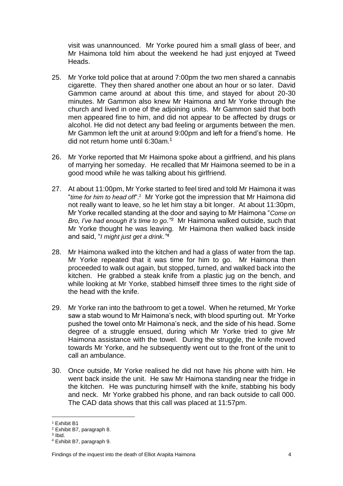visit was unannounced. Mr Yorke poured him a small glass of beer, and Mr Haimona told him about the weekend he had just enjoyed at Tweed Heads.

- 25. Mr Yorke told police that at around 7:00pm the two men shared a cannabis cigarette. They then shared another one about an hour or so later. David Gammon came around at about this time, and stayed for about 20-30 minutes. Mr Gammon also knew Mr Haimona and Mr Yorke through the church and lived in one of the adjoining units. Mr Gammon said that both men appeared fine to him, and did not appear to be affected by drugs or alcohol. He did not detect any bad feeling or arguments between the men. Mr Gammon left the unit at around 9:00pm and left for a friend's home. He did not return home until 6:30am.<sup>1</sup>
- 26. Mr Yorke reported that Mr Haimona spoke about a girlfriend, and his plans of marrying her someday. He recalled that Mr Haimona seemed to be in a good mood while he was talking about his girlfriend.
- 27. At about 11:00pm, Mr Yorke started to feel tired and told Mr Haimona it was "*time for him to head off*".<sup>2</sup> Mr Yorke got the impression that Mr Haimona did not really want to leave, so he let him stay a bit longer. At about 11:30pm, Mr Yorke recalled standing at the door and saying to Mr Haimona "*Come on Bro, I've had enough it's time to go."<sup>3</sup>* Mr Haimona walked outside, such that Mr Yorke thought he was leaving. Mr Haimona then walked back inside and said, "*I might just get a drink."<sup>4</sup>*
- 28. Mr Haimona walked into the kitchen and had a glass of water from the tap. Mr Yorke repeated that it was time for him to go. Mr Haimona then proceeded to walk out again, but stopped, turned, and walked back into the kitchen. He grabbed a steak knife from a plastic jug on the bench, and while looking at Mr Yorke, stabbed himself three times to the right side of the head with the knife.
- 29. Mr Yorke ran into the bathroom to get a towel. When he returned, Mr Yorke saw a stab wound to Mr Haimona's neck, with blood spurting out. Mr Yorke pushed the towel onto Mr Haimona's neck, and the side of his head. Some degree of a struggle ensued, during which Mr Yorke tried to give Mr Haimona assistance with the towel. During the struggle, the knife moved towards Mr Yorke, and he subsequently went out to the front of the unit to call an ambulance.
- 30. Once outside, Mr Yorke realised he did not have his phone with him. He went back inside the unit. He saw Mr Haimona standing near the fridge in the kitchen. He was puncturing himself with the knife, stabbing his body and neck. Mr Yorke grabbed his phone, and ran back outside to call 000. The CAD data shows that this call was placed at 11:57pm.

 $\overline{a}$ 

<sup>&</sup>lt;sup>1</sup> Exhibit B1

<sup>2</sup> Exhibit B7, paragraph 8.

<sup>3</sup> Ibid.

<sup>4</sup> Exhibit B7, paragraph 9.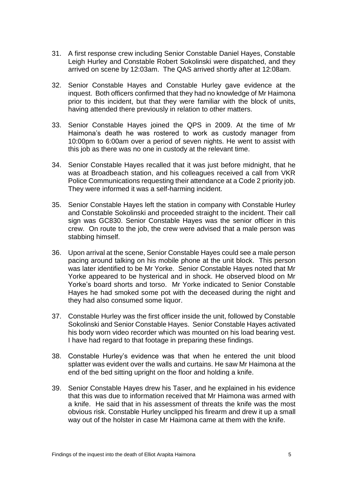- 31. A first response crew including Senior Constable Daniel Hayes, Constable Leigh Hurley and Constable Robert Sokolinski were dispatched, and they arrived on scene by 12:03am. The QAS arrived shortly after at 12:08am.
- 32. Senior Constable Hayes and Constable Hurley gave evidence at the inquest. Both officers confirmed that they had no knowledge of Mr Haimona prior to this incident, but that they were familiar with the block of units, having attended there previously in relation to other matters.
- 33. Senior Constable Hayes joined the QPS in 2009. At the time of Mr Haimona's death he was rostered to work as custody manager from 10:00pm to 6:00am over a period of seven nights. He went to assist with this job as there was no one in custody at the relevant time.
- 34. Senior Constable Hayes recalled that it was just before midnight, that he was at Broadbeach station, and his colleagues received a call from VKR Police Communications requesting their attendance at a Code 2 priority job. They were informed it was a self-harming incident.
- 35. Senior Constable Hayes left the station in company with Constable Hurley and Constable Sokolinski and proceeded straight to the incident. Their call sign was GC830. Senior Constable Hayes was the senior officer in this crew. On route to the job, the crew were advised that a male person was stabbing himself.
- 36. Upon arrival at the scene, Senior Constable Hayes could see a male person pacing around talking on his mobile phone at the unit block. This person was later identified to be Mr Yorke. Senior Constable Hayes noted that Mr Yorke appeared to be hysterical and in shock. He observed blood on Mr Yorke's board shorts and torso. Mr Yorke indicated to Senior Constable Hayes he had smoked some pot with the deceased during the night and they had also consumed some liquor.
- 37. Constable Hurley was the first officer inside the unit, followed by Constable Sokolinski and Senior Constable Hayes. Senior Constable Hayes activated his body worn video recorder which was mounted on his load bearing vest. I have had regard to that footage in preparing these findings.
- 38. Constable Hurley's evidence was that when he entered the unit blood splatter was evident over the walls and curtains. He saw Mr Haimona at the end of the bed sitting upright on the floor and holding a knife.
- 39. Senior Constable Hayes drew his Taser, and he explained in his evidence that this was due to information received that Mr Haimona was armed with a knife. He said that in his assessment of threats the knife was the most obvious risk. Constable Hurley unclipped his firearm and drew it up a small way out of the holster in case Mr Haimona came at them with the knife.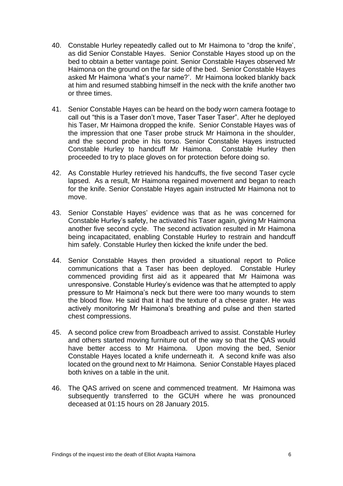- 40. Constable Hurley repeatedly called out to Mr Haimona to "drop the knife', as did Senior Constable Hayes. Senior Constable Hayes stood up on the bed to obtain a better vantage point. Senior Constable Hayes observed Mr Haimona on the ground on the far side of the bed. Senior Constable Hayes asked Mr Haimona 'what's your name?'. Mr Haimona looked blankly back at him and resumed stabbing himself in the neck with the knife another two or three times.
- 41. Senior Constable Hayes can be heard on the body worn camera footage to call out "this is a Taser don't move, Taser Taser Taser". After he deployed his Taser, Mr Haimona dropped the knife. Senior Constable Hayes was of the impression that one Taser probe struck Mr Haimona in the shoulder, and the second probe in his torso. Senior Constable Hayes instructed Constable Hurley to handcuff Mr Haimona. Constable Hurley then proceeded to try to place gloves on for protection before doing so.
- 42. As Constable Hurley retrieved his handcuffs, the five second Taser cycle lapsed. As a result, Mr Haimona regained movement and began to reach for the knife. Senior Constable Hayes again instructed Mr Haimona not to move.
- 43. Senior Constable Hayes' evidence was that as he was concerned for Constable Hurley's safety, he activated his Taser again, giving Mr Haimona another five second cycle. The second activation resulted in Mr Haimona being incapacitated, enabling Constable Hurley to restrain and handcuff him safely. Constable Hurley then kicked the knife under the bed.
- 44. Senior Constable Hayes then provided a situational report to Police communications that a Taser has been deployed. Constable Hurley commenced providing first aid as it appeared that Mr Haimona was unresponsive. Constable Hurley's evidence was that he attempted to apply pressure to Mr Haimona's neck but there were too many wounds to stem the blood flow. He said that it had the texture of a cheese grater. He was actively monitoring Mr Haimona's breathing and pulse and then started chest compressions.
- 45. A second police crew from Broadbeach arrived to assist. Constable Hurley and others started moving furniture out of the way so that the QAS would have better access to Mr Haimona. Upon moving the bed, Senior Constable Hayes located a knife underneath it. A second knife was also located on the ground next to Mr Haimona. Senior Constable Hayes placed both knives on a table in the unit.
- 46. The QAS arrived on scene and commenced treatment. Mr Haimona was subsequently transferred to the GCUH where he was pronounced deceased at 01:15 hours on 28 January 2015.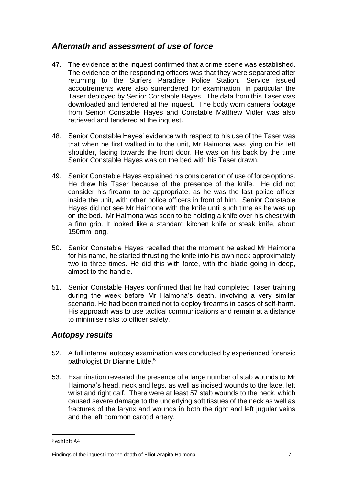### <span id="page-8-0"></span>*Aftermath and assessment of use of force*

- 47. The evidence at the inquest confirmed that a crime scene was established. The evidence of the responding officers was that they were separated after returning to the Surfers Paradise Police Station. Service issued accoutrements were also surrendered for examination, in particular the Taser deployed by Senior Constable Hayes. The data from this Taser was downloaded and tendered at the inquest. The body worn camera footage from Senior Constable Hayes and Constable Matthew Vidler was also retrieved and tendered at the inquest.
- 48. Senior Constable Hayes' evidence with respect to his use of the Taser was that when he first walked in to the unit, Mr Haimona was lying on his left shoulder, facing towards the front door. He was on his back by the time Senior Constable Hayes was on the bed with his Taser drawn.
- 49. Senior Constable Hayes explained his consideration of use of force options. He drew his Taser because of the presence of the knife. He did not consider his firearm to be appropriate, as he was the last police officer inside the unit, with other police officers in front of him. Senior Constable Hayes did not see Mr Haimona with the knife until such time as he was up on the bed. Mr Haimona was seen to be holding a knife over his chest with a firm grip. It looked like a standard kitchen knife or steak knife, about 150mm long.
- 50. Senior Constable Hayes recalled that the moment he asked Mr Haimona for his name, he started thrusting the knife into his own neck approximately two to three times. He did this with force, with the blade going in deep, almost to the handle.
- 51. Senior Constable Hayes confirmed that he had completed Taser training during the week before Mr Haimona's death, involving a very similar scenario. He had been trained not to deploy firearms in cases of self-harm. His approach was to use tactical communications and remain at a distance to minimise risks to officer safety.

### <span id="page-8-1"></span>*Autopsy results*

- 52. A full internal autopsy examination was conducted by experienced forensic pathologist Dr Dianne Little.<sup>5</sup>
- 53. Examination revealed the presence of a large number of stab wounds to Mr Haimona's head, neck and legs, as well as incised wounds to the face, left wrist and right calf. There were at least 57 stab wounds to the neck, which caused severe damage to the underlying soft tissues of the neck as well as fractures of the larynx and wounds in both the right and left jugular veins and the left common carotid artery.

 $\overline{a}$ 

<sup>5</sup> exhibit A4

Findings of the inquest into the death of Elliot Arapita Haimona 7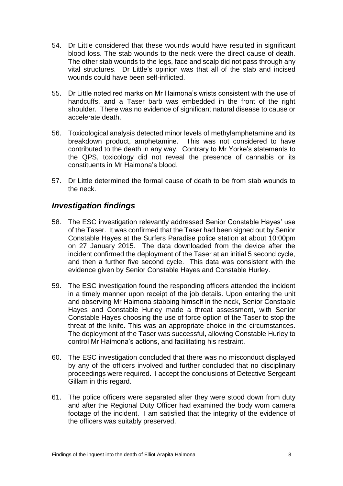- 54. Dr Little considered that these wounds would have resulted in significant blood loss. The stab wounds to the neck were the direct cause of death. The other stab wounds to the legs, face and scalp did not pass through any vital structures. Dr Little's opinion was that all of the stab and incised wounds could have been self-inflicted.
- 55. Dr Little noted red marks on Mr Haimona's wrists consistent with the use of handcuffs, and a Taser barb was embedded in the front of the right shoulder. There was no evidence of significant natural disease to cause or accelerate death.
- 56. Toxicological analysis detected minor levels of methylamphetamine and its breakdown product, amphetamine. This was not considered to have contributed to the death in any way. Contrary to Mr Yorke's statements to the QPS, toxicology did not reveal the presence of cannabis or its constituents in Mr Haimona's blood.
- 57. Dr Little determined the formal cause of death to be from stab wounds to the neck.

### *Investigation findings*

- 58. The ESC investigation relevantly addressed Senior Constable Hayes' use of the Taser. It was confirmed that the Taser had been signed out by Senior Constable Hayes at the Surfers Paradise police station at about 10:00pm on 27 January 2015. The data downloaded from the device after the incident confirmed the deployment of the Taser at an initial 5 second cycle, and then a further five second cycle. This data was consistent with the evidence given by Senior Constable Hayes and Constable Hurley.
- 59. The ESC investigation found the responding officers attended the incident in a timely manner upon receipt of the job details. Upon entering the unit and observing Mr Haimona stabbing himself in the neck, Senior Constable Hayes and Constable Hurley made a threat assessment, with Senior Constable Hayes choosing the use of force option of the Taser to stop the threat of the knife. This was an appropriate choice in the circumstances. The deployment of the Taser was successful, allowing Constable Hurley to control Mr Haimona's actions, and facilitating his restraint.
- 60. The ESC investigation concluded that there was no misconduct displayed by any of the officers involved and further concluded that no disciplinary proceedings were required. I accept the conclusions of Detective Sergeant Gillam in this regard.
- 61. The police officers were separated after they were stood down from duty and after the Regional Duty Officer had examined the body worn camera footage of the incident. I am satisfied that the integrity of the evidence of the officers was suitably preserved.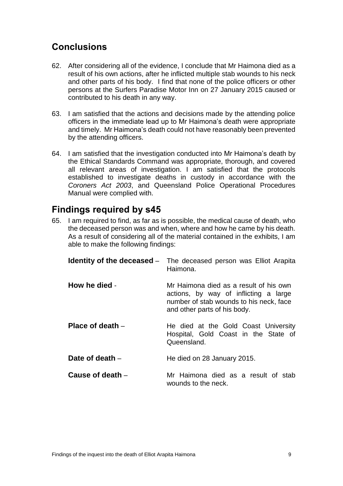## <span id="page-10-0"></span>**Conclusions**

- 62. After considering all of the evidence, I conclude that Mr Haimona died as a result of his own actions, after he inflicted multiple stab wounds to his neck and other parts of his body. I find that none of the police officers or other persons at the Surfers Paradise Motor Inn on 27 January 2015 caused or contributed to his death in any way.
- 63. I am satisfied that the actions and decisions made by the attending police officers in the immediate lead up to Mr Haimona's death were appropriate and timely. Mr Haimona's death could not have reasonably been prevented by the attending officers.
- 64. I am satisfied that the investigation conducted into Mr Haimona's death by the Ethical Standards Command was appropriate, thorough, and covered all relevant areas of investigation. I am satisfied that the protocols established to investigate deaths in custody in accordance with the *Coroners Act 2003*, and Queensland Police Operational Procedures Manual were complied with.

### <span id="page-10-1"></span>**Findings required by s45**

65. I am required to find, as far as is possible, the medical cause of death, who the deceased person was and when, where and how he came by his death. As a result of considering all of the material contained in the exhibits, I am able to make the following findings:

<span id="page-10-6"></span><span id="page-10-5"></span><span id="page-10-4"></span><span id="page-10-3"></span><span id="page-10-2"></span>

|                    | <b>Identity of the deceased</b> – The deceased person was Elliot Arapita<br>Haimona.                                                                       |
|--------------------|------------------------------------------------------------------------------------------------------------------------------------------------------------|
| How he died -      | Mr Haimona died as a result of his own<br>actions, by way of inflicting a large<br>number of stab wounds to his neck, face<br>and other parts of his body. |
| Place of death $-$ | He died at the Gold Coast University<br>Hospital, Gold Coast in the State of<br>Queensland.                                                                |
| Date of death -    | He died on 28 January 2015.                                                                                                                                |
| Cause of death –   | Mr Haimona died as a result of stab<br>wounds to the neck.                                                                                                 |